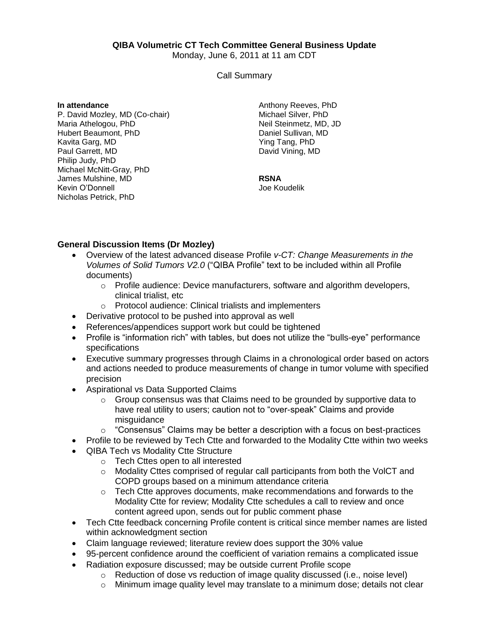## **QIBA Volumetric CT Tech Committee General Business Update**

Monday, June 6, 2011 at 11 am CDT

Call Summary

**In attendance**

P. David Mozley, MD (Co-chair) Maria Athelogou, PhD Hubert Beaumont, PhD Kavita Garg, MD Paul Garrett, MD Philip Judy, PhD Michael McNitt-Gray, PhD James Mulshine, MD Kevin O'Donnell Nicholas Petrick, PhD

Anthony Reeves, PhD Michael Silver, PhD Neil Steinmetz, MD, JD Daniel Sullivan, MD Ying Tang, PhD David Vining, MD

## **RSNA**

Joe Koudelik

## **General Discussion Items (Dr Mozley)**

- Overview of the latest advanced disease Profile *v-CT: Change Measurements in the Volumes of Solid Tumors V2.0* ("QIBA Profile" text to be included within all Profile documents)
	- o Profile audience: Device manufacturers, software and algorithm developers, clinical trialist, etc
	- o Protocol audience: Clinical trialists and implementers
- Derivative protocol to be pushed into approval as well
- References/appendices support work but could be tightened
- Profile is "information rich" with tables, but does not utilize the "bulls-eye" performance specifications
- Executive summary progresses through Claims in a chronological order based on actors and actions needed to produce measurements of change in tumor volume with specified precision
- Aspirational vs Data Supported Claims
	- o Group consensus was that Claims need to be grounded by supportive data to have real utility to users; caution not to "over-speak" Claims and provide misquidance
	- $\circ$  "Consensus" Claims may be better a description with a focus on best-practices
- Profile to be reviewed by Tech Ctte and forwarded to the Modality Ctte within two weeks
- QIBA Tech vs Modality Ctte Structure
	- o Tech Cttes open to all interested
	- $\circ$  Modality Cttes comprised of regular call participants from both the VolCT and COPD groups based on a minimum attendance criteria
	- o Tech Ctte approves documents, make recommendations and forwards to the Modality Ctte for review; Modality Ctte schedules a call to review and once content agreed upon, sends out for public comment phase
- Tech Ctte feedback concerning Profile content is critical since member names are listed within acknowledgment section
- Claim language reviewed; literature review does support the 30% value
- 95-percent confidence around the coefficient of variation remains a complicated issue
- Radiation exposure discussed; may be outside current Profile scope
	- $\circ$  Reduction of dose vs reduction of image quality discussed (i.e., noise level)
	- $\circ$  Minimum image quality level may translate to a minimum dose; details not clear